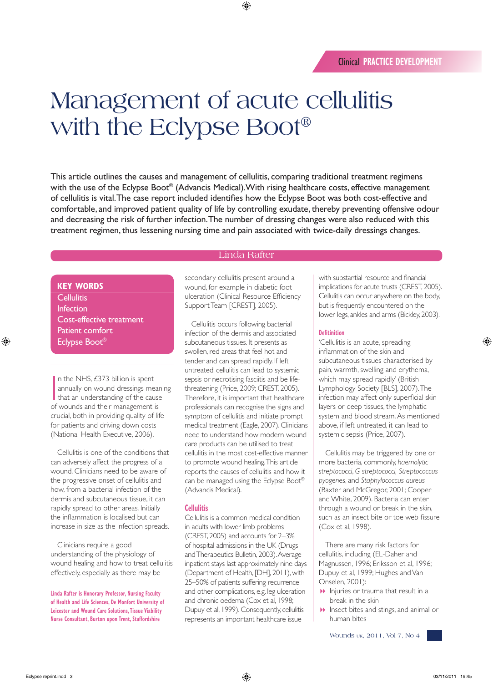# Management of acute cellulitis with the Eclypse Boot®

This article outlines the causes and management of cellulitis, comparing traditional treatment regimens with the use of the Eclypse Boot® (Advancis Medical). With rising healthcare costs, effective management of cellulitis is vital. The case report included identifies how the Eclypse Boot was both cost-effective and comfortable, and improved patient quality of life by controlling exudate, thereby preventing offensive odour and decreasing the risk of further infection. The number of dressing changes were also reduced with this treatment regimen, thus lessening nursing time and pain associated with twice-daily dressings changes.

## Linda Rafter

# **KEY WORDS**

**Cellulitis** Infection Cost-effective treatment Patient comfort Eclypse Boot®

In the NHS, £373 billion is spent<br>annually on wound dressings mean<br>that an understanding of the cause<br>of wounds and their management is n the NHS, £373 billion is spent annually on wound dressings meaning that an understanding of the cause crucial, both in providing quality of life for patients and driving down costs (National Health Executive, 2006).

Cellulitis is one of the conditions that can adversely affect the progress of a wound. Clinicians need to be aware of the progressive onset of cellulitis and how, from a bacterial infection of the dermis and subcutaneous tissue, it can rapidly spread to other areas. Initially the inflammation is localised but can increase in size as the infection spreads.

Clinicians require a good understanding of the physiology of wound healing and how to treat cellulitis effectively, especially as there may be

**Linda Rafter is Honorary Professor, Nursing Faculty of Health and Life Sciences, De Monfort University of Leicester and Wound Care Solutions, Tissue Viability Nurse Consultant, Burton upon Trent, Staffordshire**

secondary cellulitis present around a wound, for example in diabetic foot ulceration (Clinical Resource Efficiency Support Team [CREST], 2005).

Cellulitis occurs following bacterial infection of the dermis and associated subcutaneous tissues. It presents as swollen, red areas that feel hot and tender and can spread rapidly. If left untreated, cellulitis can lead to systemic sepsis or necrotising fasciitis and be lifethreatening (Price, 2009; CREST, 2005). Therefore, it is important that healthcare professionals can recognise the signs and symptom of cellulitis and initiate prompt medical treatment (Eagle, 2007). Clinicians need to understand how modern wound care products can be utilised to treat cellulitis in the most cost-effective manner to promote wound healing. This article reports the causes of cellulitis and how it can be managed using the Eclypse Boot® (Advancis Medical).

## **Cellulitis**

Cellulitis is a common medical condition in adults with lower limb problems (CREST, 2005) and accounts for 2–3% of hospital admissions in the UK (Drugs and Therapeutics Bulletin, 2003). Average inpatient stays last approximately nine days (Department of Health, [DH], 2011), with 25–50% of patients suffering recurrence and other complications, e.g. leg ulceration and chronic oedema (Cox et al, 1998; Dupuy et al, 1999). Consequently, cellulitis represents an important healthcare issue

with substantial resource and financial implications for acute trusts (CREST, 2005). Cellulitis can occur anywhere on the body, but is frequently encountered on the lower legs, ankles and arms (Bickley, 2003).

#### **Defitinition**

'Cellulitis is an acute, spreading inflammation of the skin and subcutaneous tissues characterised by pain, warmth, swelling and erythema, which may spread rapidly' (British Lymphology Society [BLS], 2007). The infection may affect only superficial skin layers or deep tissues, the lymphatic system and blood stream. As mentioned above, if left untreated, it can lead to systemic sepsis (Price, 2007).

Cellulitis may be triggered by one or more bacteria, commonly, *haemolytic streptococci*, *G streptococci, Streptococcus pyogenes*, and *Staphylococcus aureus* (Baxter and McGregor, 2001; Cooper and White, 2009). Bacteria can enter through a wound or break in the skin, such as an insect bite or toe web fissure (Cox et al, 1998).

There are many risk factors for cellulitis, including (EL-Daher and Magnussen, 1996; Eriksson et al, 1996; Dupuy et al, 1999; Hughes and Van Onselen, 2001):

- $\blacktriangleright$  Injuries or trauma that result in a break in the skin
- **1** Insect bites and stings, and animal or human bites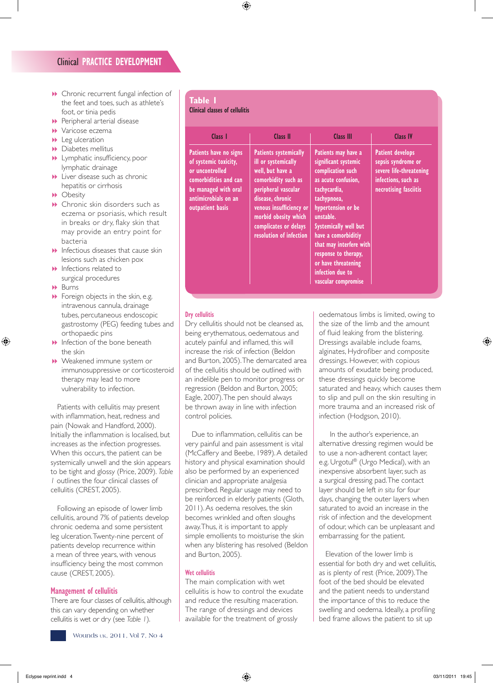- 8 Chronic recurrent fungal infection of the feet and toes, such as athlete's foot, or tinia pedis
- $\blacktriangleright$  Peripheral arterial disease
- $\blacktriangleright$  Varicose eczema
- $\blacktriangleright$  Leg ulceration
- **Diabetes mellitus**
- **1** Lymphatic insufficiency, poor lymphatic drainage
- $\blacktriangleright$  Liver disease such as chronic hepatitis or cirrhosis
- **D** Obesity
- $\blacktriangleright$  Chronic skin disorders such as eczema or psoriasis, which result in breaks or dry, flaky skin that may provide an entry point for bacteria
- $\blacktriangleright$  Infectious diseases that cause skin lesions such as chicken pox
- $\blacktriangleright$  Infections related to surgical procedures
- **Burns**
- $\blacktriangleright$  Foreign objects in the skin, e.g. intravenous cannula, drainage tubes, percutaneous endoscopic gastrostomy (PEG) feeding tubes and orthopaedic pins
- $\blacktriangleright$  Infection of the bone beneath the skin
- **B** Weakened immune system or immunosuppressive or corticosteroid therapy may lead to more vulnerability to infection.

Patients with cellulitis may present with inflammation, heat, redness and pain (Nowak and Handford, 2000). Initially the inflammation is localised, but increases as the infection progresses. When this occurs, the patient can be systemically unwell and the skin appears to be tight and glossy (Price, 2009). *Table 1* outlines the four clinical classes of cellulitis (CREST, 2005).

Following an episode of lower limb cellulitis, around 7% of patients develop chronic oedema and some persistent leg ulceration. Twenty-nine percent of patients develop recurrence within a mean of three years, with venous insufficiency being the most common cause (CREST, 2005).

## **Management of cellulitis**

There are four classes of cellulitis, although this can vary depending on whether cellulitis is wet or dry (see *Table 1*).

# **Table 1**

#### **Clinical classes of cellulitis**

| Class 1                                                                                                                                                         | Class II                                                                                                                                                                                                                                         | <b>Class III</b>                                                                                                                                                                                                                                                                                                               | <b>Class IV</b>                                                                                                          |  |  |
|-----------------------------------------------------------------------------------------------------------------------------------------------------------------|--------------------------------------------------------------------------------------------------------------------------------------------------------------------------------------------------------------------------------------------------|--------------------------------------------------------------------------------------------------------------------------------------------------------------------------------------------------------------------------------------------------------------------------------------------------------------------------------|--------------------------------------------------------------------------------------------------------------------------|--|--|
| Patients have no signs<br>of systemic toxicity,<br>or uncontrolled<br>comorbidities and can<br>be managed with oral<br>antimicrobials on an<br>outpatient basis | <b>Patients systemically</b><br>ill or systemically<br>well, but have a<br>comorbidity such as<br>peripheral vascular<br>disease, chronic<br>venous insufficiency or<br>morbid obesity which<br>complicates or delays<br>resolution of infection | Patients may have a<br>significant systemic<br>complication such<br>as acute confusion,<br>tachycardia,<br>tachypnoea,<br>hypertension or be<br>unstable.<br>Systemically well but<br>have a comorbiditiy<br>that may interfere with<br>response to therapy,<br>or have threatening<br>infection due to<br>vascular compromise | <b>Patient develops</b><br>sepsis syndrome or<br>severe life-threatening<br>infections, such as<br>necrotising fasciitis |  |  |

#### **Dry cellulitis**

Dry cellulitis should not be cleansed as, being erythematous, oedematous and acutely painful and inflamed, this will increase the risk of infection (Beldon and Burton, 2005). The demarcated area of the cellulitis should be outlined with an indelible pen to monitor progress or regression (Beldon and Burton, 2005; Eagle, 2007). The pen should always be thrown away in line with infection control policies.

Due to inflammation, cellulitis can be very painful and pain assessment is vital (McCaffery and Beebe, 1989). A detailed history and physical examination should also be performed by an experienced clinician and appropriate analgesia prescribed. Regular usage may need to be reinforced in elderly patients (Gloth, 2011). As oedema resolves, the skin becomes wrinkled and often sloughs away. Thus, it is important to apply simple emollients to moisturise the skin when any blistering has resolved (Beldon and Burton, 2005).

#### **Wet cellulitis**

The main complication with wet cellulitis is how to control the exudate and reduce the resulting maceration. The range of dressings and devices available for the treatment of grossly

oedematous limbs is limited, owing to the size of the limb and the amount of fluid leaking from the blistering. Dressings available include foams, alginates, Hydrofiber and composite dressings. However, with copious amounts of exudate being produced, these dressings quickly become saturated and heavy, which causes them to slip and pull on the skin resulting in more trauma and an increased risk of infection (Hodgson, 2010).

In the author's experience, an alternative dressing regimen would be to use a non-adherent contact layer, e.g. Urgotul® (Urgo Medical), with an inexpensive absorbent layer, such as a surgical dressing pad. The contact layer should be left *in situ* for four days, changing the outer layers when saturated to avoid an increase in the risk of infection and the development of odour, which can be unpleasant and embarrassing for the patient.

Elevation of the lower limb is essential for both dry and wet cellulitis, as is plenty of rest (Price, 2009). The foot of the bed should be elevated and the patient needs to understand the importance of this to reduce the swelling and oedema. Ideally, a profiling bed frame allows the patient to sit up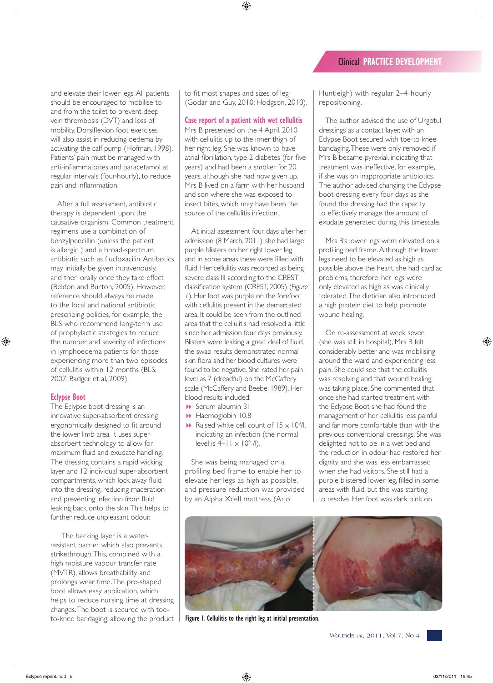and elevate their lower legs. All patients should be encouraged to mobilise to and from the toilet to prevent deep vein thrombosis (DVT) and loss of mobility. Dorsiflexion foot exercises will also assist in reducing oedema by activating the calf pump (Hofman, 1998). Patients' pain must be managed with anti-inflammatories and paracetamol at regular intervals (four-hourly), to reduce pain and inflammation.

After a full assessment, antibiotic therapy is dependent upon the causative organism. Common treatment regimens use a combination of benzylpencillin (unless the patient is allergic ) and a broad-spectrum antibiotic such as flucloxacilin. Antibotics may initially be given intravenously, and then orally once they take effect (Beldon and Burton, 2005). However, reference should always be made to the local and national antibiotic prescribing policies, for example, the BLS who recommend long-term use of prophylactic strategies to reduce the number and severity of infections in lymphoedema patients for those experiencing more than two episodes of cellulitis within 12 months (BLS, 2007; Badger et al, 2009).

# **Eclypse Boot**

The Eclypse boot dressing is an innovative super-absorbent dressing ergonomically designed to fit around the lower limb area. It uses superabsorbent technology to allow for maximum fluid and exudate handling. The dressing contains a rapid wicking layer and 12 individual super-absorbent compartments, which lock away fluid into the dressing, reducing maceration and preventing infection from fluid leaking back onto the skin. This helps to further reduce unpleasant odour.

The backing layer is a waterresistant barrier which also prevents strikethrough. This, combined with a high moisture vapour transfer rate (MVTR), allows breathability and prolongs wear time. The pre-shaped boot allows easy application, which helps to reduce nursing time at dressing changes. The boot is secured with toeto-knee bandaging, allowing the product to fit most shapes and sizes of leg (Godar and Guy, 2010; Hodgson, 2010).

**Case report of a patient with wet cellulitis**

Mrs B presented on the 4 April, 2010 with cellulitis up to the inner thigh of her right leg. She was known to have atrial fibrillation, type 2 diabetes (for five years) and had been a smoker for 20 years, although she had now given up. Mrs B lived on a farm with her husband and son where she was exposed to insect bites, which may have been the source of the cellulitis infection.

At initial assessment four days after her admission (8 March, 2011), she had large purple blisters on her right lower leg and in some areas these were filled with fluid. Her cellulitis was recorded as being severe class III according to the CREST classification system (CREST, 2005) (*Figure 1*). Her foot was purple on the forefoot with cellulitis present in the demarcated area. It could be seen from the outlined area that the cellulitis had resolved a little since her admission four days previously. Blisters were leaking a great deal of fluid, the swab results demonstrated normal skin flora and her blood cultures were found to be negative. She rated her pain level as 7 (dreadful) on the McCaffery scale (McCaffery and Beebe, 1989). Her blood results included:

- Serum albumin 31
- **B** Haemoglobin 10.8
- $\blacktriangleright$  Raised white cell count of  $15 \times 10^9$ /l, indicating an infection (the normal level is  $4-11 \times 10^9$  /l).

She was being managed on a profiling bed frame to enable her to elevate her legs as high as possible, and pressure reduction was provided by an Alpha Xcell mattress (Arjo

Huntleigh) with regular 2–4-hourly repositioning.

The author advised the use of Urgotul dressings as a contact layer, with an Eclypse Boot secured with toe-to-knee bandaging. These were only removed if Mrs B became pyrexial, indicating that treatment was ineffective, for example, if she was on inappropriate antibiotics. The author advised changing the Eclypse boot dressing every four days as she found the dressing had the capacity to effectively manage the amount of exudate generated during this timescale.

Mrs B's lower legs were elevated on a profiling bed frame. Although the lower legs need to be elevated as high as possible above the heart, she had cardiac problems, therefore, her legs were only elevated as high as was clinically tolerated. The dietician also introduced a high protein diet to help promote wound healing.

On re-assessment at week seven (she was still in hospital), Mrs B felt considerably better and was mobilising around the ward and experiencing less pain. She could see that the cellulitis was resolving and that wound healing was taking place. She commented that once she had started treatment with the Eclypse Boot she had found the management of her cellulitis less painful and far more comfortable than with the previous conventional dressings. She was delighted not to be in a wet bed and the reduction in odour had restored her dignity and she was less embarrassed when she had visitors. She still had a purple blistered lower leg, filled in some areas with fluid, but this was starting to resolve. Her foot was dark pink on



**Figure 1. Cellulitis to the right leg at initial presentation.**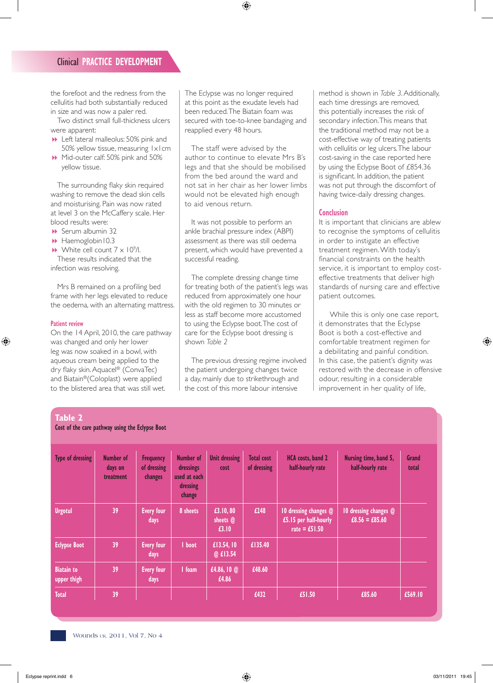# Clinical **PRACTICE DEVELOPMENT**

the forefoot and the redness from the cellulitis had both substantially reduced in size and was now a paler red.

Two distinct small full-thickness ulcers were apparent:

- **B** Left lateral malleolus: 50% pink and 50% yellow tissue, measuring 1x1cm
- Mid-outer calf: 50% pink and 50% yellow tissue.

The surrounding flaky skin required washing to remove the dead skin cells and moisturising. Pain was now rated at level 3 on the McCaffery scale. Her blood results were:

- **B** Serum albumin 32
- **B** Haemoglobin10.3

 $\blacktriangleright$  White cell count  $7 \times 10^9$ /l. These results indicated that the infection was resolving.

Mrs B remained on a profiling bed frame with her legs elevated to reduce the oedema, with an alternating mattress.

#### **Patient review**

On the 14 April, 2010, the care pathway was changed and only her lower leg was now soaked in a bowl, with aqueous cream being applied to the dry flaky skin. Aquacel® (ConvaTec) and Biatain®(Coloplast) were applied to the blistered area that was still wet.

The Eclypse was no longer required at this point as the exudate levels had been reduced. The Biatain foam was secured with toe-to-knee bandaging and reapplied every 48 hours.

The staff were advised by the author to continue to elevate Mrs B's legs and that she should be mobilised from the bed around the ward and not sat in her chair as her lower limbs would not be elevated high enough to aid venous return.

It was not possible to perform an ankle brachial pressure index (ABPI) assessment as there was still oedema present, which would have prevented a successful reading.

The complete dressing change time for treating both of the patient's legs was reduced from approximately one hour with the old regimen to 30 minutes or less as staff become more accustomed to using the Eclypse boot. The cost of care for the Eclypse boot dressing is shown *Table 2* 

The previous dressing regime involved the patient undergoing changes twice a day, mainly due to strikethrough and the cost of this more labour intensive

method is shown in *Table 3*. Additionally, each time dressings are removed, this potentially increases the risk of secondary infection. This means that the traditional method may not be a cost-effective way of treating patients with cellulitis or leg ulcers. The labour cost-saving in the case reported here by using the Eclypse Boot of £854.36 is significant. In addition, the patient was not put through the discomfort of having twice-daily dressing changes.

#### **Conclusion**

It is important that clinicians are ablew to recognise the symptoms of cellulitis in order to instigate an effective treatment regimen. With today's financial constraints on the health service, it is important to employ costeffective treatments that deliver high standards of nursing care and effective patient outcomes.

While this is only one case report, it demonstrates that the Eclypse Boot is both a cost-effective and comfortable treatment regimen for a debilitating and painful condition. In this case, the patient's dignity was restored with the decrease in offensive odour, resulting in a considerable improvement in her quality of life,

| Cost of the care pathway using the Eclypse Boot |                                          |                                            |                                                              |                                |                                  |                                                                   |                                           |                |
|-------------------------------------------------|------------------------------------------|--------------------------------------------|--------------------------------------------------------------|--------------------------------|----------------------------------|-------------------------------------------------------------------|-------------------------------------------|----------------|
| <b>Type of dressing</b>                         | <b>Number of</b><br>days on<br>treatment | <b>Frequency</b><br>of dressing<br>changes | Number of<br>dressings<br>used at each<br>dressing<br>change | <b>Unit dressing</b><br>cost   | <b>Total cost</b><br>of dressing | HCA costs, band 2<br>half-hourly rate                             | Nursing time, band 5,<br>half-hourly rate | Grand<br>total |
| <b>Urgotul</b>                                  | 39                                       | <b>Every four</b><br>days                  | 8 sheets                                                     | £3.10, 80<br>sheets @<br>£3.10 | £248                             | 10 dressing changes @<br>£5.15 per half-hourly<br>rate = $£51.50$ | 10 dressing changes @<br>$£8.56 = £85.60$ |                |
| <b>Eclypse Boot</b>                             | 39                                       | <b>Every four</b><br>days                  | I boot                                                       | £13.54, 10<br>@ £13.54         | £135.40                          |                                                                   |                                           |                |
| <b>Biatain to</b><br>upper thigh                | 39                                       | <b>Every four</b><br>days                  | I foam                                                       | £4.86, 10 $@$<br>£4.86         | £48.60                           |                                                                   |                                           |                |
| <b>Total</b>                                    | 39                                       |                                            |                                                              |                                | £432                             | £51.50                                                            | £85.60                                    | £569.10        |

# **Table 2**